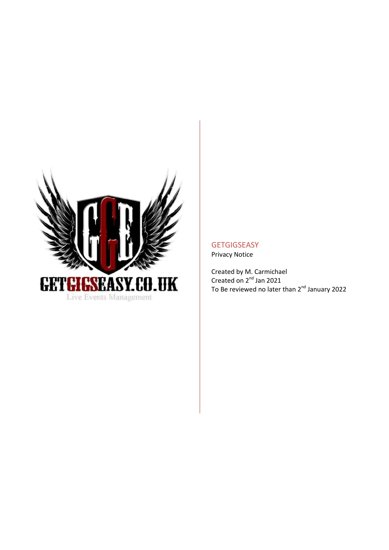

# **GETGIGSEASY**

Privacy Notice

Created by M. Carmichael Created on 2<sup>nd</sup> Jan 2021 To Be reviewed no later than 2<sup>nd</sup> January 2022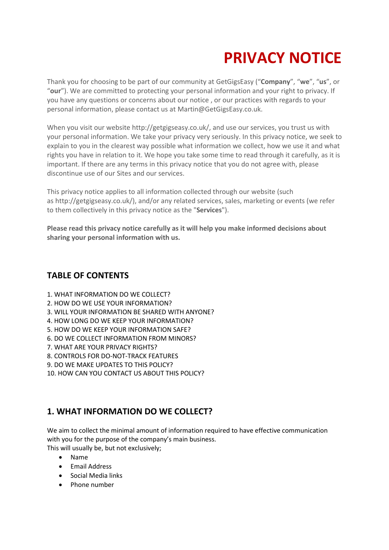# **PRIVACY NOTICE**

Thank you for choosing to be part of our community at GetGigsEasy ("**Company**", "**we**", "**us**", or "**our**"). We are committed to protecting your personal information and your right to privacy. If you have any questions or concerns about our notice , or our practices with regards to your personal information, please contact us at Martin@GetGigsEasy.co.uk.

When you visit our website http://getgigseasy.co.uk/, and use our services, you trust us with your personal information. We take your privacy very seriously. In this privacy notice, we seek to explain to you in the clearest way possible what information we collect, how we use it and what rights you have in relation to it. We hope you take some time to read through it carefully, as it is important. If there are any terms in this privacy notice that you do not agree with, please discontinue use of our Sites and our services.

This privacy notice applies to all information collected through our website (such as http://getgigseasy.co.uk/), and/or any related services, sales, marketing or events (we refer to them collectively in this privacy notice as the "**Services**").

**Please read this privacy notice carefully as it will help you make informed decisions about sharing your personal information with us.** 

#### **TABLE OF CONTENTS**

- 1. WHAT INFORMATION DO WE COLLECT?
- 2. HOW DO WE USE YOUR INFORMATION?
- [3. WILL YOUR INFORMATION BE SHARED WITH ANYONE?](https://app.termly.io/dashboard/website/312236/privacy-policy#infoshare)
- [4. HOW LONG DO WE KEEP YOUR INFORMATION?](https://app.termly.io/dashboard/website/312236/privacy-policy#inforetain)
- [5. HOW DO WE KEEP YOUR INFORMATION SAFE?](https://app.termly.io/dashboard/website/312236/privacy-policy#infosafe)
- [6. DO WE COLLECT INFORMATION FROM MINORS?](https://app.termly.io/dashboard/website/312236/privacy-policy#infominors)
- [7. WHAT ARE YOUR PRIVACY RIGHTS?](https://app.termly.io/dashboard/website/312236/privacy-policy#privacyrights)
- [8. CONTROLS FOR DO-NOT-TRACK FEATURES](https://app.termly.io/dashboard/website/312236/privacy-policy#DNT)
- [9. DO WE MAKE UPDATES TO THIS POLICY?](https://app.termly.io/dashboard/website/312236/privacy-policy#policyupdates)
- 10. [HOW CAN YOU CONTACT US ABOUT THIS POLICY?](https://app.termly.io/dashboard/website/312236/privacy-policy#contact)

# **1. WHAT INFORMATION DO WE COLLECT?**

We aim to collect the minimal amount of information required to have effective communication with you for the purpose of the company's main business.

This will usually be, but not exclusively;

- Name
- **•** Email Address
- Social Media links
- Phone number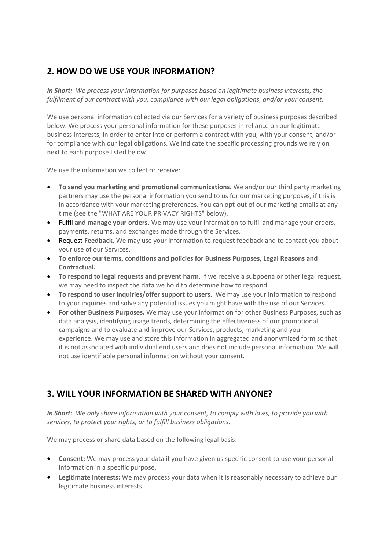# **2. HOW DO WE USE YOUR INFORMATION?**

*In Short: We process your information for purposes based on legitimate business interests, the fulfilment of our contract with you, compliance with our legal obligations, and/or your consent.*

We use personal information collected via our Services for a variety of business purposes described below. We process your personal information for these purposes in reliance on our legitimate business interests, in order to enter into or perform a contract with you, with your consent, and/or for compliance with our legal obligations. We indicate the specific processing grounds we rely on next to each purpose listed below.

We use the information we collect or receive:

- **To send you marketing and promotional communications.** We and/or our third party marketing partners may use the personal information you send to us for our marketing purposes, if this is in accordance with your marketing preferences. You can opt-out of our marketing emails at any time (see the "WHAT ARE YOUR PRIVACY RIGHTS" below).
- Fulfil **and manage your orders.** We may use your information to fulfil and manage your orders, payments, returns, and exchanges made through the Services.
- Request **Feedback.** We may use your information to request feedback and to contact you about your use of our Services.
- **To enforce our terms, conditions and policies for Business Purposes, Legal Reasons and Contractual.**
- **To respond to legal requests and prevent harm.** If we receive a subpoena or other legal request, we may need to inspect the data we hold to determine how to respond.
- **To respond to user inquiries/offer support to users.** We may use your information to respond to your inquiries and solve any potential issues you might have with the use of our Services.
- **For other Business Purposes.** We may use your information for other Business Purposes, such as data analysis, identifying usage trends, determining the effectiveness of our promotional campaigns and to evaluate and improve our Services, products, marketing and your experience. We may use and store this information in aggregated and anonymized form so that it is not associated with individual end users and does not include personal information. We will not use identifiable personal information without your consent.

# **3. WILL YOUR INFORMATION BE SHARED WITH ANYONE?**

*In Short: We only share information with your consent, to comply with laws, to provide you with services, to protect your rights, or to fulfill business obligations.*

We may process or share data based on the following legal basis:

- **Consent:** We may process your data if you have given us specific consent to use your personal information in a specific purpose.
- **Legitimate Interests:** We may process your data when it is reasonably necessary to achieve our legitimate business interests.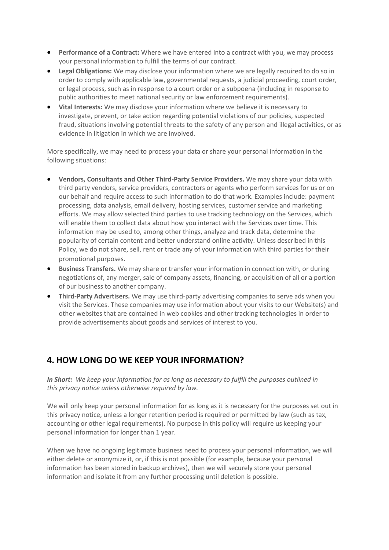- **Performance of a Contract:** Where we have entered into a contract with you, we may process your personal information to fulfill the terms of our contract.
- **Legal Obligations:** We may disclose your information where we are legally required to do so in order to comply with applicable law, governmental requests, a judicial proceeding, court order, or legal process, such as in response to a court order or a subpoena (including in response to public authorities to meet national security or law enforcement requirements).
- **Vital Interests:** We may disclose your information where we believe it is necessary to investigate, prevent, or take action regarding potential violations of our policies, suspected fraud, situations involving potential threats to the safety of any person and illegal activities, or as evidence in litigation in which we are involved.

More specifically, we may need to process your data or share your personal information in the following situations:

- **Vendors, Consultants and Other Third-Party Service Providers.** We may share your data with third party vendors, service providers, contractors or agents who perform services for us or on our behalf and require access to such information to do that work. Examples include: payment processing, data analysis, email delivery, hosting services, customer service and marketing efforts. We may allow selected third parties to use tracking technology on the Services, which will enable them to collect data about how you interact with the Services over time. This information may be used to, among other things, analyze and track data, determine the popularity of certain content and better understand online activity. Unless described in this Policy, we do not share, sell, rent or trade any of your information with third parties for their promotional purposes.
- **Business Transfers.** We may share or transfer your information in connection with, or during negotiations of, any merger, sale of company assets, financing, or acquisition of all or a portion of our business to another company.
- **Third-Party Advertisers.** We may use third-party advertising companies to serve ads when you visit the Services. These companies may use information about your visits to our Website(s) and other websites that are contained in web cookies and other tracking technologies in order to provide advertisements about goods and services of interest to you.

#### **4. HOW LONG DO WE KEEP YOUR INFORMATION?**

*In Short: We keep your information for as long as necessary to fulfill the purposes outlined in this privacy notice unless otherwise required by law.*

We will only keep your personal information for as long as it is necessary for the purposes set out in this privacy notice, unless a longer retention period is required or permitted by law (such as tax, accounting or other legal requirements). No purpose in this policy will require us keeping your personal information for longer than 1 year.

When we have no ongoing legitimate business need to process your personal information, we will either delete or anonymize it, or, if this is not possible (for example, because your personal information has been stored in backup archives), then we will securely store your personal information and isolate it from any further processing until deletion is possible.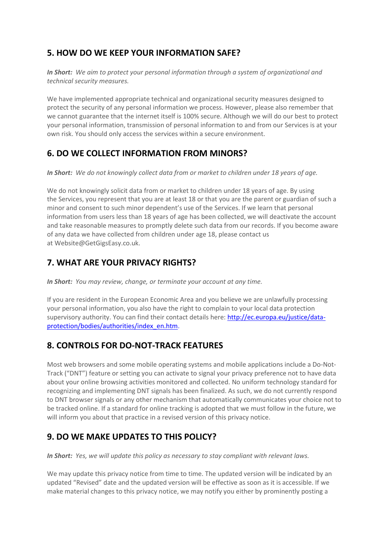# **5. HOW DO WE KEEP YOUR INFORMATION SAFE?**

*In Short: We aim to protect your personal information through a system of organizational and technical security measures.*

We have implemented appropriate technical and organizational security measures designed to protect the security of any personal information we process. However, please also remember that we cannot guarantee that the internet itself is 100% secure. Although we will do our best to protect your personal information, transmission of personal information to and from our Services is at your own risk. You should only access the services within a secure environment.

#### **6. DO WE COLLECT INFORMATION FROM MINORS?**

*In Short: We do not knowingly collect data from or market to children under 18 years of age.*

We do not knowingly solicit data from or market to children under 18 years of age. By using the Services, you represent that you are at least 18 or that you are the parent or guardian of such a minor and consent to such minor dependent's use of the Services. If we learn that personal information from users less than 18 years of age has been collected, we will deactivate the account and take reasonable measures to promptly delete such data from our records. If you become aware of any data we have collected from children under age 18, please contact us at Website@GetGigsEasy.co.uk.

# **7. WHAT ARE YOUR PRIVACY RIGHTS?**

*In Short: You may review, change, or terminate your account at any time.*

If you are resident in the European Economic Area and you believe we are unlawfully processing your personal information, you also have the right to complain to your local data protection supervisory authority. You can find their contact details here: [http://ec.europa.eu/justice/data](http://ec.europa.eu/justice/data-protection/bodies/authorities/index_en.htm)[protection/bodies/authorities/index\\_en.htm.](http://ec.europa.eu/justice/data-protection/bodies/authorities/index_en.htm)

#### **8. CONTROLS FOR DO-NOT-TRACK FEATURES**

Most web browsers and some mobile operating systems and mobile applications include a Do-Not-Track ("DNT") feature or setting you can activate to signal your privacy preference not to have data about your online browsing activities monitored and collected. No uniform technology standard for recognizing and implementing DNT signals has been finalized. As such, we do not currently respond to DNT browser signals or any other mechanism that automatically communicates your choice not to be tracked online. If a standard for online tracking is adopted that we must follow in the future, we will inform you about that practice in a revised version of this privacy notice.

#### **9. DO WE MAKE UPDATES TO THIS POLICY?**

*In Short: Yes, we will update this policy as necessary to stay compliant with relevant laws.*

We may update this privacy notice from time to time. The updated version will be indicated by an updated "Revised" date and the updated version will be effective as soon as it is accessible. If we make material changes to this privacy notice, we may notify you either by prominently posting a